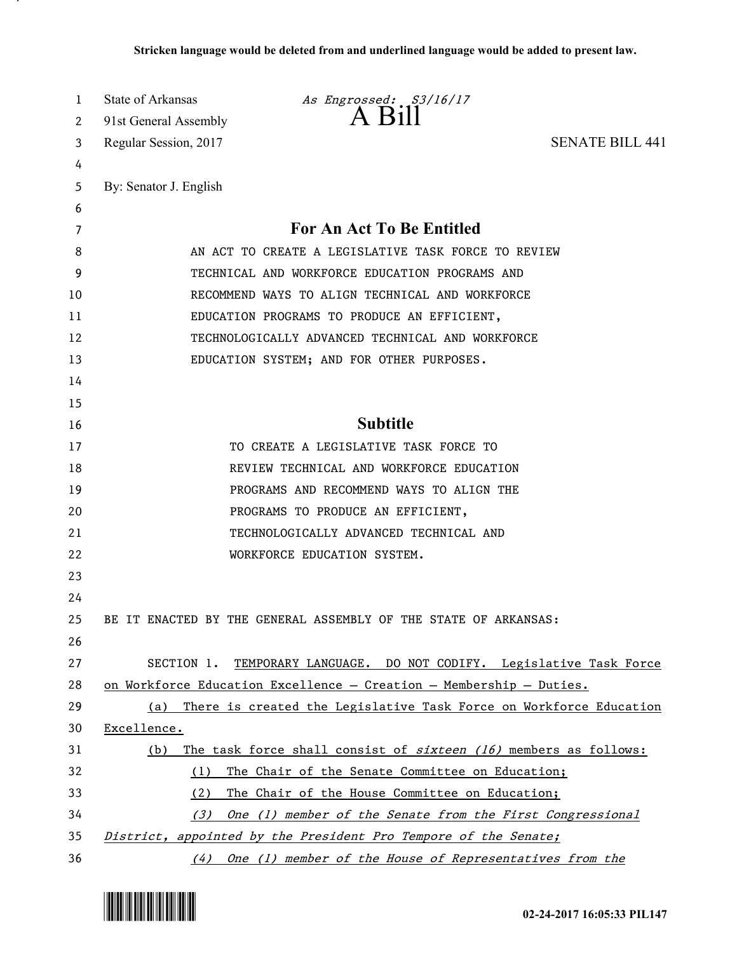| 1  | State of Arkansas      | As Engrossed: S3/16/17                                               |                        |
|----|------------------------|----------------------------------------------------------------------|------------------------|
| 2  | 91st General Assembly  | A B1II                                                               |                        |
| 3  | Regular Session, 2017  |                                                                      | <b>SENATE BILL 441</b> |
| 4  |                        |                                                                      |                        |
| 5  | By: Senator J. English |                                                                      |                        |
| 6  |                        |                                                                      |                        |
| 7  |                        | For An Act To Be Entitled                                            |                        |
| 8  |                        | AN ACT TO CREATE A LEGISLATIVE TASK FORCE TO REVIEW                  |                        |
| 9  |                        | TECHNICAL AND WORKFORCE EDUCATION PROGRAMS AND                       |                        |
| 10 |                        | RECOMMEND WAYS TO ALIGN TECHNICAL AND WORKFORCE                      |                        |
| 11 |                        | EDUCATION PROGRAMS TO PRODUCE AN EFFICIENT,                          |                        |
| 12 |                        | TECHNOLOGICALLY ADVANCED TECHNICAL AND WORKFORCE                     |                        |
| 13 |                        | EDUCATION SYSTEM; AND FOR OTHER PURPOSES.                            |                        |
| 14 |                        |                                                                      |                        |
| 15 |                        |                                                                      |                        |
| 16 |                        | <b>Subtitle</b>                                                      |                        |
| 17 |                        | TO CREATE A LEGISLATIVE TASK FORCE TO                                |                        |
| 18 |                        | REVIEW TECHNICAL AND WORKFORCE EDUCATION                             |                        |
| 19 |                        | PROGRAMS AND RECOMMEND WAYS TO ALIGN THE                             |                        |
| 20 |                        | PROGRAMS TO PRODUCE AN EFFICIENT,                                    |                        |
| 21 |                        | TECHNOLOGICALLY ADVANCED TECHNICAL AND                               |                        |
| 22 |                        | WORKFORCE EDUCATION SYSTEM.                                          |                        |
| 23 |                        |                                                                      |                        |
| 24 |                        |                                                                      |                        |
| 25 |                        | BE IT ENACTED BY THE GENERAL ASSEMBLY OF THE STATE OF ARKANSAS:      |                        |
| 26 |                        |                                                                      |                        |
| 27 |                        | SECTION 1. TEMPORARY LANGUAGE. DO NOT CODIFY. Legislative Task Force |                        |
| 28 |                        | on Workforce Education Excellence - Creation - Membership - Duties.  |                        |
| 29 | (a)                    | There is created the Legislative Task Force on Workforce Education   |                        |
| 30 | Excellence.            |                                                                      |                        |
| 31 | (b)                    | The task force shall consist of $s$ ixteen (16) members as follows:  |                        |
| 32 | (1)                    | The Chair of the Senate Committee on Education;                      |                        |
| 33 | (2)                    | The Chair of the House Committee on Education;                       |                        |
| 34 | (3)                    | One (1) member of the Senate from the First Congressional            |                        |
| 35 |                        | District, appointed by the President Pro Tempore of the Senate;      |                        |
| 36 |                        | (4) One (1) member of the House of Representatives from the          |                        |



.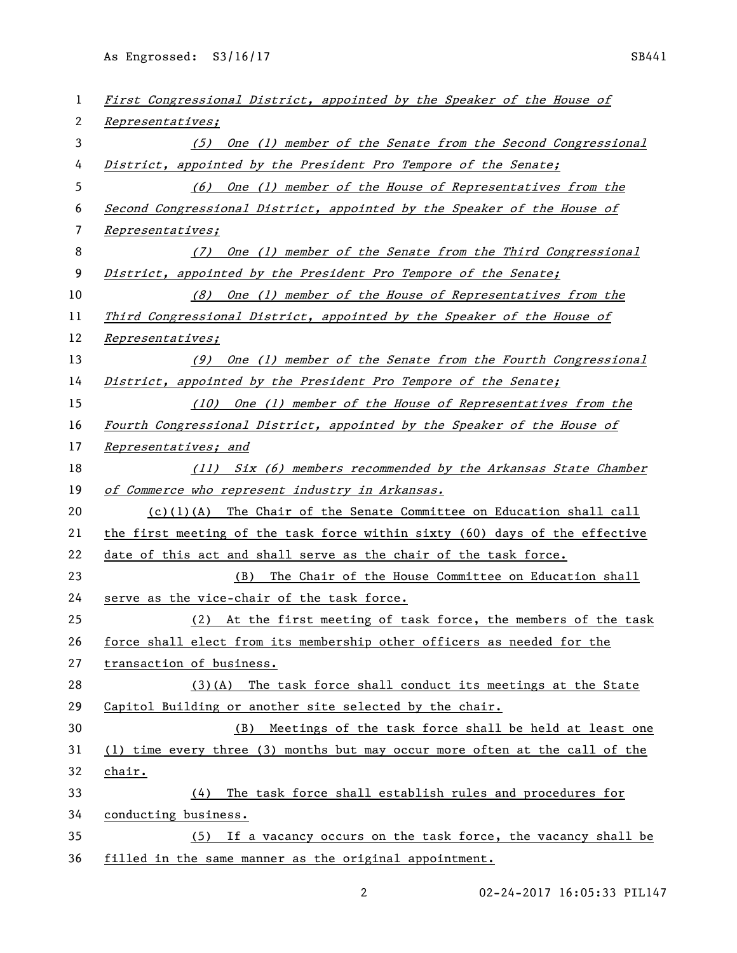As Engrossed: S3/16/17 SB441

| 1  | First Congressional District, appointed by the Speaker of the House of      |
|----|-----------------------------------------------------------------------------|
| 2  | Representatives;                                                            |
| 3  | (5) One (1) member of the Senate from the Second Congressional              |
| 4  | District, appointed by the President Pro Tempore of the Senate;             |
| 5  | (6) One (1) member of the House of Representatives from the                 |
| 6  | Second Congressional District, appointed by the Speaker of the House of     |
| 7  | Representatives;                                                            |
| 8  | (7) One (1) member of the Senate from the Third Congressional               |
| 9  | District, appointed by the President Pro Tempore of the Senate;             |
| 10 | (8) One (1) member of the House of Representatives from the                 |
| 11 | Third Congressional District, appointed by the Speaker of the House of      |
| 12 | Representatives;                                                            |
| 13 | (9) One (1) member of the Senate from the Fourth Congressional              |
| 14 | District, appointed by the President Pro Tempore of the Senate;             |
| 15 | (10) One (1) member of the House of Representatives from the                |
| 16 | Fourth Congressional District, appointed by the Speaker of the House of     |
| 17 | Representatives; and                                                        |
| 18 | (11) Six (6) members recommended by the Arkansas State Chamber              |
| 19 | of Commerce who represent industry in Arkansas.                             |
| 20 | $(c)(1)(A)$ The Chair of the Senate Committee on Education shall call       |
| 21 | the first meeting of the task force within sixty (60) days of the effective |
| 22 | date of this act and shall serve as the chair of the task force.            |
| 23 | The Chair of the House Committee on Education shall<br>(B)                  |
| 24 | serve as the vice-chair of the task force.                                  |
| 25 | (2) At the first meeting of task force, the members of the task             |
| 26 | force shall elect from its membership other officers as needed for the      |
| 27 | transaction of business.                                                    |
| 28 | $(3)(A)$ The task force shall conduct its meetings at the State             |
| 29 | Capitol Building or another site selected by the chair.                     |
| 30 | (B) Meetings of the task force shall be held at least one                   |
| 31 | (1) time every three (3) months but may occur more often at the call of the |
| 32 | chair.                                                                      |
| 33 | The task force shall establish rules and procedures for<br>(4)              |
| 34 | conducting business.                                                        |
| 35 | (5) If a vacancy occurs on the task force, the vacancy shall be             |
| 36 | filled in the same manner as the original appointment.                      |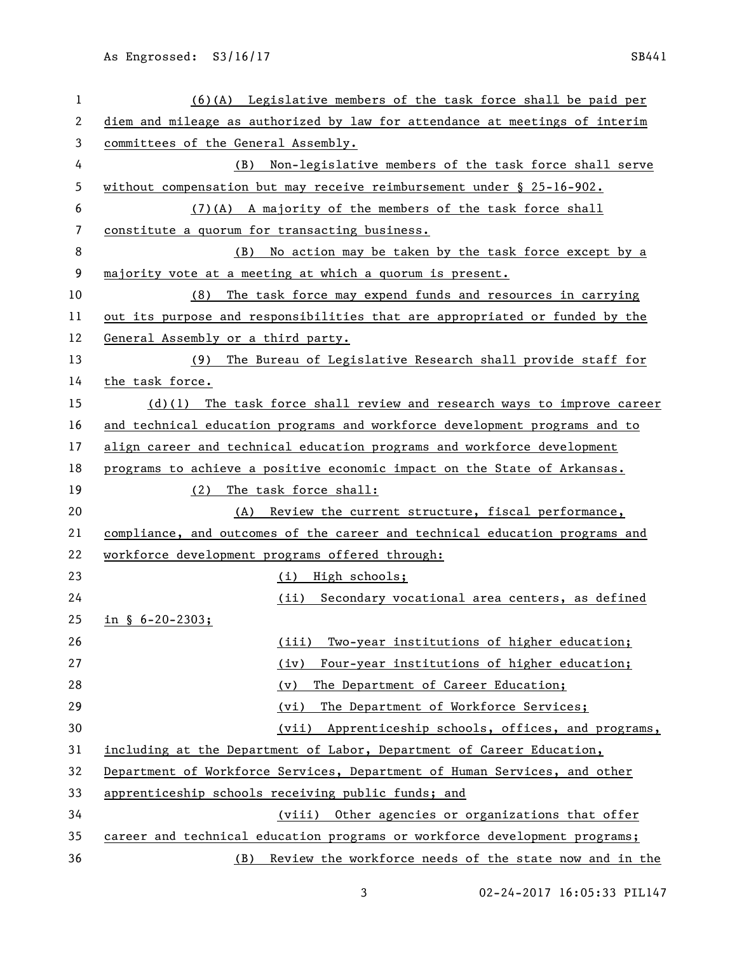| 1  | $(6)(A)$ Legislative members of the task force shall be paid per            |
|----|-----------------------------------------------------------------------------|
| 2  | diem and mileage as authorized by law for attendance at meetings of interim |
| 3  | committees of the General Assembly.                                         |
| 4  | Non-legislative members of the task force shall serve<br>(B)                |
| 5  | without compensation but may receive reimbursement under $\S$ 25-16-902.    |
| 6  | (7)(A) A majority of the members of the task force shall                    |
| 7  | constitute a quorum for transacting business.                               |
| 8  | No action may be taken by the task force except by a<br>(B)                 |
| 9  | majority vote at a meeting at which a quorum is present.                    |
| 10 | (8)<br>The task force may expend funds and resources in carrying            |
| 11 | out its purpose and responsibilities that are appropriated or funded by the |
| 12 | General Assembly or a third party.                                          |
| 13 | The Bureau of Legislative Research shall provide staff for<br>(9)           |
| 14 | the task force.                                                             |
| 15 | $(d)(1)$ The task force shall review and research ways to improve career    |
| 16 | and technical education programs and workforce development programs and to  |
| 17 | align career and technical education programs and workforce development     |
| 18 | programs to achieve a positive economic impact on the State of Arkansas.    |
| 19 | The task force shall:<br>(2)                                                |
| 20 | (A) Review the current structure, fiscal performance,                       |
| 21 | compliance, and outcomes of the career and technical education programs and |
| 22 | workforce development programs offered through:                             |
| 23 | (i) High schools;                                                           |
| 24 | Secondary vocational area centers, as defined<br>(ii)                       |
| 25 | in $\S$ 6-20-2303;                                                          |
| 26 | Two-year institutions of higher education;<br>(iii)                         |
| 27 | Four-year institutions of higher education;<br>(iy)                         |
| 28 | The Department of Career Education;<br>(v)                                  |
| 29 | The Department of Workforce Services;<br>(vi)                               |
| 30 | (vii)<br>Apprenticeship schools, offices, and programs,                     |
| 31 | including at the Department of Labor, Department of Career Education,       |
| 32 | Department of Workforce Services, Department of Human Services, and other   |
| 33 | apprenticeship schools receiving public funds; and                          |
| 34 | (viii) Other agencies or organizations that offer                           |
| 35 | career and technical education programs or workforce development programs;  |
| 36 | Review the workforce needs of the state now and in the<br>(B)               |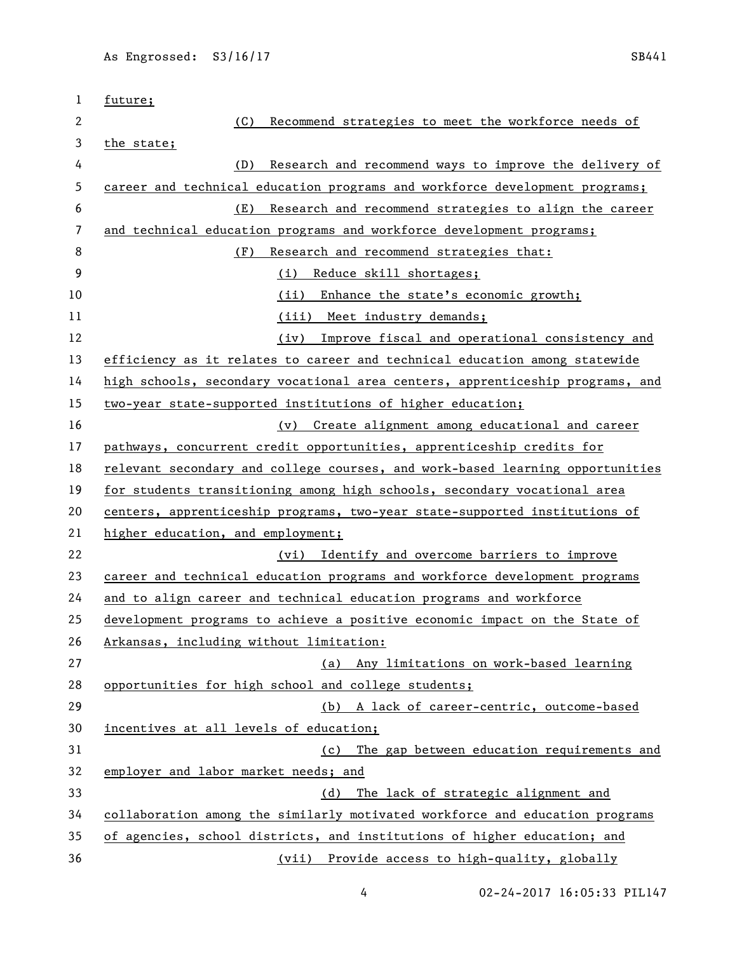| 1  | future;                                                                       |
|----|-------------------------------------------------------------------------------|
| 2  | Recommend strategies to meet the workforce needs of<br>(C)                    |
| 3  | the state;                                                                    |
| 4  | Research and recommend ways to improve the delivery of<br>(D)                 |
| 5  | career and technical education programs and workforce development programs;   |
| 6  | (E)<br>Research and recommend strategies to align the career                  |
| 7  | and technical education programs and workforce development programs;          |
| 8  | (F)<br>Research and recommend strategies that:                                |
| 9  | (i) Reduce skill shortages;                                                   |
| 10 | Enhance the state's economic growth;<br>(ii)                                  |
| 11 | (iii) Meet industry demands;                                                  |
| 12 | Improve fiscal and operational consistency and<br>(iv)                        |
| 13 | efficiency as it relates to career and technical education among statewide    |
| 14 | high schools, secondary vocational area centers, apprenticeship programs, and |
| 15 | two-year state-supported institutions of higher education;                    |
| 16 | (v) Create alignment among educational and career                             |
| 17 | pathways, concurrent credit opportunities, apprenticeship credits for         |
| 18 | relevant secondary and college courses, and work-based learning opportunities |
| 19 | for students transitioning among high schools, secondary vocational area      |
| 20 | centers, apprenticeship programs, two-year state-supported institutions of    |
| 21 | higher education, and employment;                                             |
| 22 | (vi) Identify and overcome barriers to improve                                |
| 23 | career and technical education programs and workforce development programs    |
| 24 | and to align career and technical education programs and workforce            |
| 25 | development programs to achieve a positive economic impact on the State of    |
| 26 | Arkansas, including without limitation:                                       |
| 27 | Any limitations on work-based learning<br>(a)                                 |
| 28 | opportunities for high school and college students;                           |
| 29 | (b) A lack of career-centric, outcome-based                                   |
| 30 | incentives at all levels of education;                                        |
| 31 | (c) The gap between education requirements and                                |
| 32 | employer and labor market needs; and                                          |
| 33 | The lack of strategic alignment and<br>(d)                                    |
| 34 | collaboration among the similarly motivated workforce and education programs  |
| 35 | of agencies, school districts, and institutions of higher education; and      |
| 36 | (vii) Provide access to high-quality, globally                                |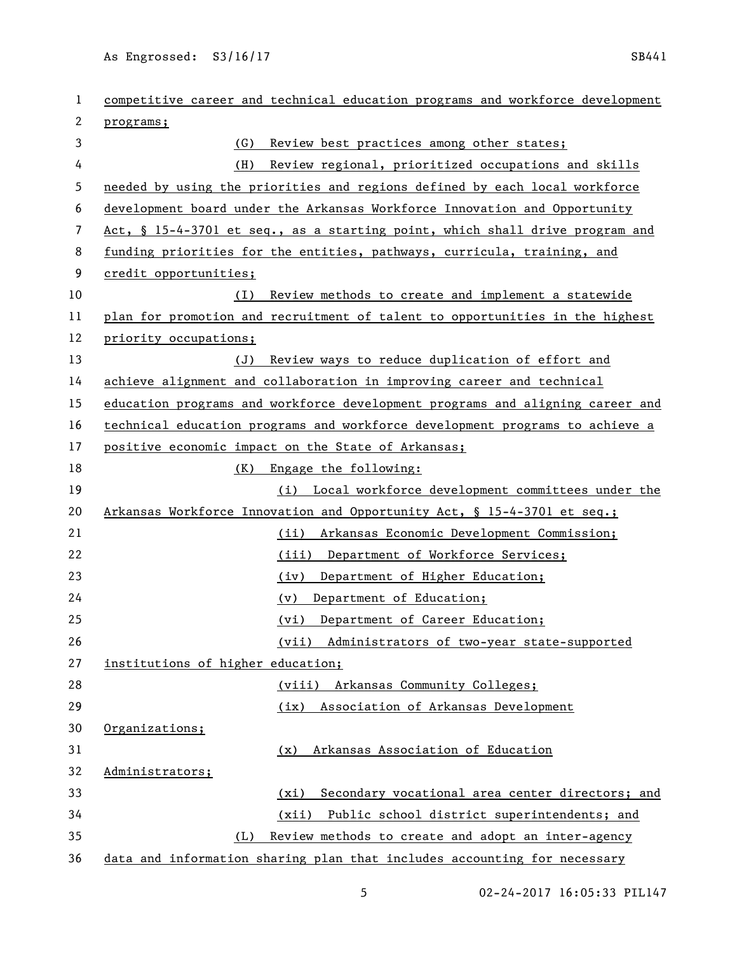As Engrossed: S3/16/17 SB441

| 1  | competitive career and technical education programs and workforce development |
|----|-------------------------------------------------------------------------------|
| 2  | programs;                                                                     |
| 3  | (G)<br>Review best practices among other states;                              |
| 4  | Review regional, prioritized occupations and skills<br>(H)                    |
| 5  | needed by using the priorities and regions defined by each local workforce    |
| 6  | development board under the Arkansas Workforce Innovation and Opportunity     |
| 7  | Act, § 15-4-3701 et seq., as a starting point, which shall drive program and  |
| 8  | funding priorities for the entities, pathways, curricula, training, and       |
| 9  | credit opportunities;                                                         |
| 10 | Review methods to create and implement a statewide<br>(I)                     |
| 11 | plan for promotion and recruitment of talent to opportunities in the highest  |
| 12 | priority occupations;                                                         |
| 13 | (J)<br>Review ways to reduce duplication of effort and                        |
| 14 | achieve alignment and collaboration in improving career and technical         |
| 15 | education programs and workforce development programs and aligning career and |
| 16 | technical education programs and workforce development programs to achieve a  |
| 17 | positive economic impact on the State of Arkansas;                            |
| 18 | (K)<br>Engage the following:                                                  |
| 19 | (i) Local workforce development committees under the                          |
| 20 | Arkansas Workforce Innovation and Opportunity Act, § 15-4-3701 et seq.;       |
| 21 | Arkansas Economic Development Commission;<br>(ii)                             |
| 22 | (iii) Department of Workforce Services;                                       |
| 23 | Department of Higher Education;<br>(iv)                                       |
| 24 | Department of Education;<br>(v)                                               |
| 25 | Department of Career Education;<br>(vi)                                       |
| 26 | (vii) Administrators of two-year state-supported                              |
| 27 | institutions of higher education;                                             |
| 28 | (viii)<br>Arkansas Community Colleges;                                        |
| 29 | Association of Arkansas Development<br>(ix)                                   |
| 30 | Organizations;                                                                |
| 31 | Arkansas Association of Education<br>(x)                                      |
| 32 | Administrators;                                                               |
| 33 | Secondary vocational area center directors; and<br>(xi)                       |
| 34 | Public school district superintendents; and<br>(xii)                          |
| 35 | Review methods to create and adopt an inter-agency<br>(L)                     |
| 36 | data and information sharing plan that includes accounting for necessary      |